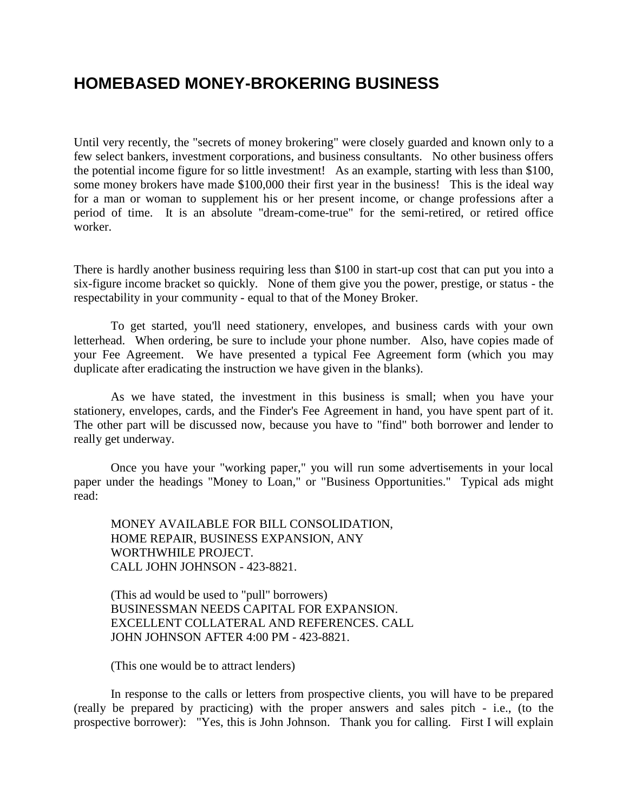## **HOMEBASED MONEY-BROKERING BUSINESS**

Until very recently, the "secrets of money brokering" were closely guarded and known only to a few select bankers, investment corporations, and business consultants. No other business offers the potential income figure for so little investment! As an example, starting with less than \$100, some money brokers have made \$100,000 their first year in the business! This is the ideal way for a man or woman to supplement his or her present income, or change professions after a period of time. It is an absolute "dream-come-true" for the semi-retired, or retired office worker.

There is hardly another business requiring less than \$100 in start-up cost that can put you into a six-figure income bracket so quickly. None of them give you the power, prestige, or status - the respectability in your community - equal to that of the Money Broker.

To get started, you'll need stationery, envelopes, and business cards with your own letterhead. When ordering, be sure to include your phone number. Also, have copies made of your Fee Agreement. We have presented a typical Fee Agreement form (which you may duplicate after eradicating the instruction we have given in the blanks).

As we have stated, the investment in this business is small; when you have your stationery, envelopes, cards, and the Finder's Fee Agreement in hand, you have spent part of it. The other part will be discussed now, because you have to "find" both borrower and lender to really get underway.

Once you have your "working paper," you will run some advertisements in your local paper under the headings "Money to Loan," or "Business Opportunities." Typical ads might read:

MONEY AVAILABLE FOR BILL CONSOLIDATION, HOME REPAIR, BUSINESS EXPANSION, ANY WORTHWHILE PROJECT. CALL JOHN JOHNSON - 423-8821.

(This ad would be used to "pull" borrowers) BUSINESSMAN NEEDS CAPITAL FOR EXPANSION. EXCELLENT COLLATERAL AND REFERENCES. CALL JOHN JOHNSON AFTER 4:00 PM - 423-8821.

(This one would be to attract lenders)

In response to the calls or letters from prospective clients, you will have to be prepared (really be prepared by practicing) with the proper answers and sales pitch - i.e., (to the prospective borrower): "Yes, this is John Johnson. Thank you for calling. First I will explain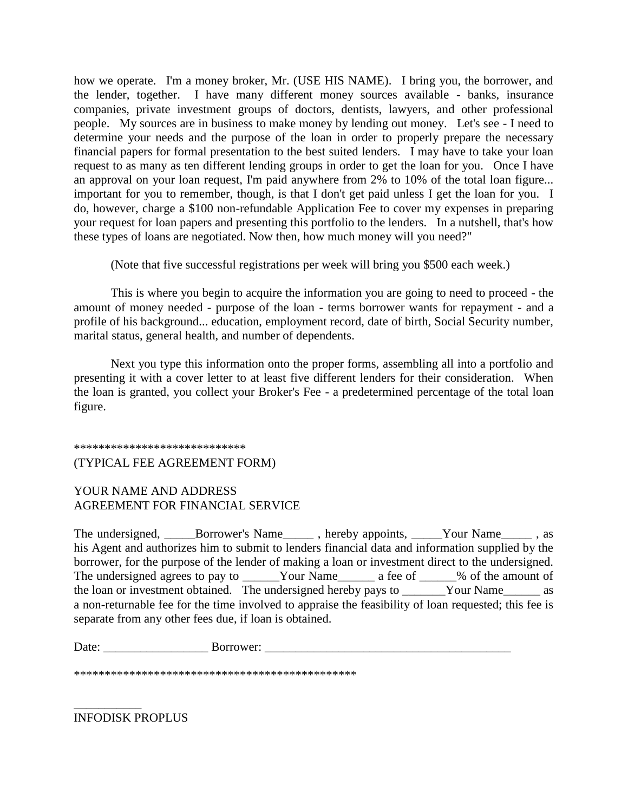how we operate. I'm a money broker, Mr. (USE HIS NAME). I bring you, the borrower, and the lender, together. I have many different money sources available - banks, insurance companies, private investment groups of doctors, dentists, lawyers, and other professional people. My sources are in business to make money by lending out money. Let's see - I need to determine your needs and the purpose of the loan in order to properly prepare the necessary financial papers for formal presentation to the best suited lenders. I may have to take your loan request to as many as ten different lending groups in order to get the loan for you. Once I have an approval on your loan request, I'm paid anywhere from 2% to 10% of the total loan figure... important for you to remember, though, is that I don't get paid unless I get the loan for you. I do, however, charge a \$100 non-refundable Application Fee to cover my expenses in preparing your request for loan papers and presenting this portfolio to the lenders. In a nutshell, that's how these types of loans are negotiated. Now then, how much money will you need?"

(Note that five successful registrations per week will bring you \$500 each week.)

This is where you begin to acquire the information you are going to need to proceed - the amount of money needed - purpose of the loan - terms borrower wants for repayment - and a profile of his background... education, employment record, date of birth, Social Security number, marital status, general health, and number of dependents.

Next you type this information onto the proper forms, assembling all into a portfolio and presenting it with a cover letter to at least five different lenders for their consideration. When the loan is granted, you collect your Broker's Fee - a predetermined percentage of the total loan figure.

## \*\*\*\*\*\*\*\*\*\*\*\*\*\*\*\*\*\*\*\*\*\*\*\*\*\*\*\*

## (TYPICAL FEE AGREEMENT FORM)

## YOUR NAME AND ADDRESS AGREEMENT FOR FINANCIAL SERVICE

The undersigned, \_\_\_\_\_Borrower's Name\_\_\_\_\_\_, hereby appoints, \_\_\_\_\_Your Name\_\_\_\_\_\_, as his Agent and authorizes him to submit to lenders financial data and information supplied by the borrower, for the purpose of the lender of making a loan or investment direct to the undersigned. The undersigned agrees to pay to \_\_\_\_\_\_Your Name\_\_\_\_\_\_\_\_ a fee of \_\_\_\_\_\_% of the amount of the loan or investment obtained. The undersigned hereby pays to \_\_\_\_\_\_\_Your Name\_\_\_\_\_\_ as a non-returnable fee for the time involved to appraise the feasibility of loan requested; this fee is separate from any other fees due, if loan is obtained.

Date: \_\_\_\_\_\_\_\_\_\_\_\_\_\_\_\_\_ Borrower: \_\_\_\_\_\_\_\_\_\_\_\_\_\_\_\_\_\_\_\_\_\_\_\_\_\_\_\_\_\_\_\_\_\_\_\_\_\_\_\_

\*\*\*\*\*\*\*\*\*\*\*\*\*\*\*\*\*\*\*\*\*\*\*\*\*\*\*\*\*\*\*\*\*\*\*\*\*\*\*\*\*\*\*\*\*\*

INFODISK PROPLUS

\_\_\_\_\_\_\_\_\_\_\_